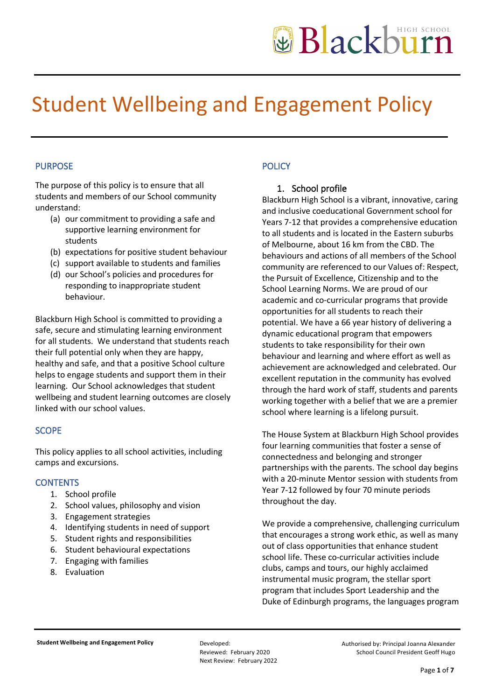# Student Wellbeing and Engagement Policy

## PURPOSE

The purpose of this policy is to ensure that all students and members of our School community understand:

- (a) our commitment to providing a safe and supportive learning environment for students
- (b) expectations for positive student behaviour
- (c) support available to students and families
- (d) our School's policies and procedures for responding to inappropriate student behaviour.

Blackburn High School is committed to providing a safe, secure and stimulating learning environment for all students. We understand that students reach their full potential only when they are happy, healthy and safe, and that a positive School culture helps to engage students and support them in their learning. Our School acknowledges that student wellbeing and student learning outcomes are closely linked with our school values.

### **SCOPE**

This policy applies to all school activities, including camps and excursions.

### **CONTENTS**

- 1. School profile
- 2. School values, philosophy and vision
- 3. Engagement strategies
- 4. Identifying students in need of support
- 5. Student rights and responsibilities
- 6. Student behavioural expectations
- 7. Engaging with families
- 8. Evaluation

# **POLICY**

### 1. School profile

Blackburn High School is a vibrant, innovative, caring and inclusive coeducational Government school for Years 7-12 that provides a comprehensive education to all students and is located in the Eastern suburbs of Melbourne, about 16 km from the CBD. The behaviours and actions of all members of the School community are referenced to our Values of: Respect, the Pursuit of Excellence, Citizenship and to the School Learning Norms. We are proud of our academic and co-curricular programs that provide opportunities for all students to reach their potential. We have a 66 year history of delivering a dynamic educational program that empowers students to take responsibility for their own behaviour and learning and where effort as well as achievement are acknowledged and celebrated. Our excellent reputation in the community has evolved through the hard work of staff, students and parents working together with a belief that we are a premier school where learning is a lifelong pursuit.

The House System at Blackburn High School provides four learning communities that foster a sense of connectedness and belonging and stronger partnerships with the parents. The school day begins with a 20-minute Mentor session with students from Year 7-12 followed by four 70 minute periods throughout the day.

We provide a comprehensive, challenging curriculum that encourages a strong work ethic, as well as many out of class opportunities that enhance student school life. These co-curricular activities include clubs, camps and tours, our highly acclaimed instrumental music program, the stellar sport program that includes Sport Leadership and the Duke of Edinburgh programs, the languages program

Reviewed: February 2020 Next Review: February 2022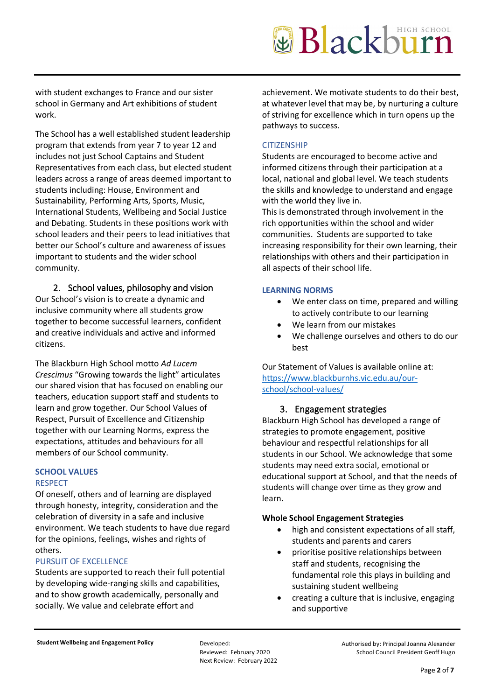with student exchanges to France and our sister school in Germany and Art exhibitions of student work.

The School has a well established student leadership program that extends from year 7 to year 12 and includes not just School Captains and Student Representatives from each class, but elected student leaders across a range of areas deemed important to students including: House, Environment and Sustainability, Performing Arts, Sports, Music, International Students, Wellbeing and Social Justice and Debating. Students in these positions work with school leaders and their peers to lead initiatives that better our School's culture and awareness of issues important to students and the wider school community.

# 2. School values, philosophy and vision

Our School's vision is to create a dynamic and inclusive community where all students grow together to become successful learners, confident and creative individuals and active and informed citizens.

The Blackburn High School motto *Ad Lucem Crescimus* "Growing towards the light" articulates our shared vision that has focused on enabling our teachers, education support staff and students to learn and grow together. Our School Values of Respect, Pursuit of Excellence and Citizenship together with our Learning Norms, express the expectations, attitudes and behaviours for all members of our School community.

#### **SCHOOL VALUES** RESPECT

Of oneself, others and of learning are displayed through honesty, integrity, consideration and the celebration of diversity in a safe and inclusive environment. We teach students to have due regard for the opinions, feelings, wishes and rights of others.

### PURSUIT OF EXCELLENCE

Students are supported to reach their full potential by developing wide-ranging skills and capabilities, and to show growth academically, personally and socially. We value and celebrate effort and

achievement. We motivate students to do their best, at whatever level that may be, by nurturing a culture of striving for excellence which in turn opens up the pathways to success.

### **CITIZENSHIP**

Students are encouraged to become active and informed citizens through their participation at a local, national and global level. We teach students the skills and knowledge to understand and engage with the world they live in.

This is demonstrated through involvement in the rich opportunities within the school and wider communities. Students are supported to take increasing responsibility for their own learning, their relationships with others and their participation in all aspects of their school life.

### **LEARNING NORMS**

- We enter class on time, prepared and willing to actively contribute to our learning
- We learn from our mistakes
- We challenge ourselves and others to do our best

Our Statement of Values is available online at: [https://www.blackburnhs.vic.edu.au/our](https://www.blackburnhs.vic.edu.au/our-school/school-values/)[school/school-values/](https://www.blackburnhs.vic.edu.au/our-school/school-values/)

# 3. Engagement strategies

Blackburn High School has developed a range of strategies to promote engagement, positive behaviour and respectful relationships for all students in our School. We acknowledge that some students may need extra social, emotional or educational support at School, and that the needs of students will change over time as they grow and learn.

### **Whole School Engagement Strategies**

- high and consistent expectations of all staff, students and parents and carers
- prioritise positive relationships between staff and students, recognising the fundamental role this plays in building and sustaining student wellbeing
- creating a culture that is inclusive, engaging and supportive

Reviewed: February 2020 Next Review: February 2022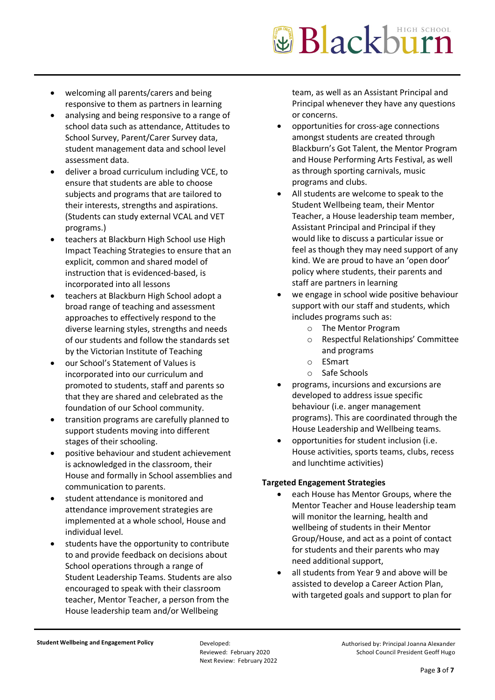- welcoming all parents/carers and being responsive to them as partners in learning
- analysing and being responsive to a range of school data such as attendance, Attitudes to School Survey, Parent/Carer Survey data, student management data and school level assessment data.
- deliver a broad curriculum including VCE, to ensure that students are able to choose subjects and programs that are tailored to their interests, strengths and aspirations. (Students can study external VCAL and VET programs.)
- teachers at Blackburn High School use High Impact Teaching Strategies to ensure that an explicit, common and shared model of instruction that is evidenced-based, is incorporated into all lessons
- teachers at Blackburn High School adopt a broad range of teaching and assessment approaches to effectively respond to the diverse learning styles, strengths and needs of our students and follow the standards set by the Victorian Institute of Teaching
- our School's Statement of Values is incorporated into our curriculum and promoted to students, staff and parents so that they are shared and celebrated as the foundation of our School community.
- transition programs are carefully planned to support students moving into different stages of their schooling.
- positive behaviour and student achievement is acknowledged in the classroom, their House and formally in School assemblies and communication to parents.
- student attendance is monitored and attendance improvement strategies are implemented at a whole school, House and individual level.
- students have the opportunity to contribute to and provide feedback on decisions about School operations through a range of Student Leadership Teams. Students are also encouraged to speak with their classroom teacher, Mentor Teacher, a person from the House leadership team and/or Wellbeing

team, as well as an Assistant Principal and Principal whenever they have any questions or concerns.

- opportunities for cross-age connections amongst students are created through Blackburn's Got Talent, the Mentor Program and House Performing Arts Festival, as well as through sporting carnivals, music programs and clubs.
- All students are welcome to speak to the Student Wellbeing team, their Mentor Teacher, a House leadership team member, Assistant Principal and Principal if they would like to discuss a particular issue or feel as though they may need support of any kind. We are proud to have an 'open door' policy where students, their parents and staff are partners in learning
- we engage in school wide positive behaviour support with our staff and students, which includes programs such as:
	- o The Mentor Program
	- o Respectful Relationships' Committee and programs
	- o ESmart
	- o Safe Schools
- programs, incursions and excursions are developed to address issue specific behaviour (i.e. anger management programs). This are coordinated through the House Leadership and Wellbeing teams.
- opportunities for student inclusion (i.e. House activities, sports teams, clubs, recess and lunchtime activities)

# **Targeted Engagement Strategies**

- each House has Mentor Groups, where the Mentor Teacher and House leadership team will monitor the learning, health and wellbeing of students in their Mentor Group/House, and act as a point of contact for students and their parents who may need additional support,
- all students from Year 9 and above will be assisted to develop a Career Action Plan, with targeted goals and support to plan for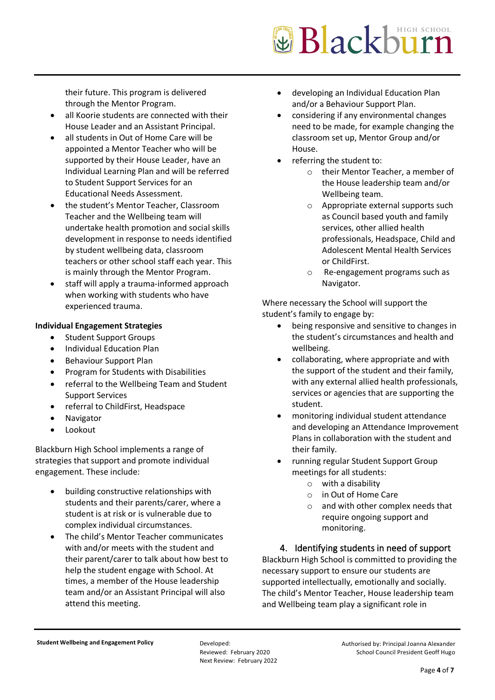their future. This program is delivered through the Mentor Program.

- all Koorie students are connected with their House Leader and an Assistant Principal.
- all students in Out of Home Care will be appointed a Mentor Teacher who will be supported by their House Leader, have an Individual Learning Plan and will be referred to Student Support Services for an Educational Needs Assessment.
- the student's Mentor Teacher, Classroom Teacher and the Wellbeing team will undertake health promotion and social skills development in response to needs identified by student wellbeing data, classroom teachers or other school staff each year. This is mainly through the Mentor Program.
- staff will apply a trauma-informed approach when working with students who have experienced trauma.

### **Individual Engagement Strategies**

- Student Support Groups
- Individual Education Plan
- Behaviour Support Plan
- Program for Students with Disabilities
- referral to the Wellbeing Team and Student Support Services
- referral to ChildFirst, Headspace
- **Navigator**
- **Lookout**

Blackburn High School implements a range of strategies that support and promote individual engagement. These include:

- building constructive relationships with students and their parents/carer, where a student is at risk or is vulnerable due to complex individual circumstances.
- The child's Mentor Teacher communicates with and/or meets with the student and their parent/carer to talk about how best to help the student engage with School. At times, a member of the House leadership team and/or an Assistant Principal will also attend this meeting.
- developing an Individual Education Plan and/or a Behaviour Support Plan.
- considering if any environmental changes need to be made, for example changing the classroom set up, Mentor Group and/or House.
- referring the student to:
	- o their Mentor Teacher, a member of the House leadership team and/or Wellbeing team.
	- o Appropriate external supports such as Council based youth and family services, other allied health professionals, Headspace, Child and Adolescent Mental Health Services or ChildFirst.
	- o Re-engagement programs such as Navigator.

Where necessary the School will support the student's family to engage by:

- being responsive and sensitive to changes in the student's circumstances and health and wellbeing.
- collaborating, where appropriate and with the support of the student and their family, with any external allied health professionals, services or agencies that are supporting the student.
- monitoring individual student attendance and developing an Attendance Improvement Plans in collaboration with the student and their family.
- running regular Student Support Group meetings for all students:
	- o with a disability
	- o in Out of Home Care
	- o and with other complex needs that require ongoing support and monitoring.

4. Identifying students in need of support Blackburn High School is committed to providing the necessary support to ensure our students are supported intellectually, emotionally and socially. The child's Mentor Teacher, House leadership team and Wellbeing team play a significant role in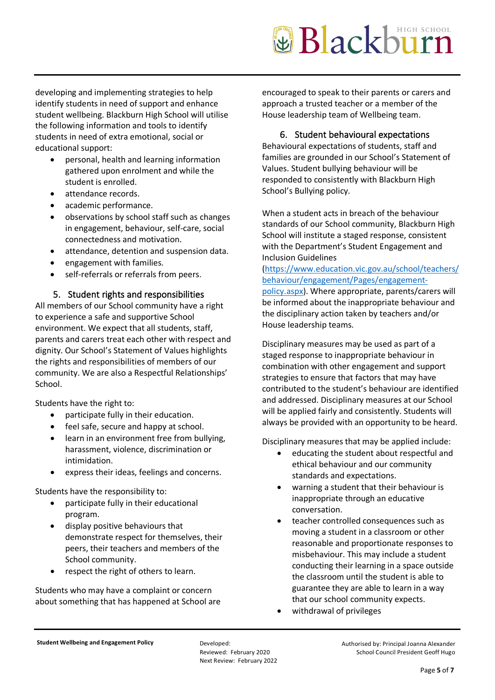developing and implementing strategies to help identify students in need of support and enhance student wellbeing. Blackburn High School will utilise the following information and tools to identify students in need of extra emotional, social or educational support:

- personal, health and learning information gathered upon enrolment and while the student is enrolled.
- attendance records.
- academic performance.
- observations by school staff such as changes in engagement, behaviour, self-care, social connectedness and motivation.
- attendance, detention and suspension data.
- engagement with families.
- self-referrals or referrals from peers.

### 5. Student rights and responsibilities

All members of our School community have a right to experience a safe and supportive School environment. We expect that all students, staff, parents and carers treat each other with respect and dignity. Our School's Statement of Values highlights the rights and responsibilities of members of our community. We are also a Respectful Relationships' School.

Students have the right to:

- participate fully in their education.
- feel safe, secure and happy at school.
- learn in an environment free from bullying, harassment, violence, discrimination or intimidation.
- express their ideas, feelings and concerns.

Students have the responsibility to:

- participate fully in their educational program.
- display positive behaviours that demonstrate respect for themselves, their peers, their teachers and members of the School community.
- respect the right of others to learn.

Students who may have a complaint or concern about something that has happened at School are encouraged to speak to their parents or carers and approach a trusted teacher or a member of the House leadership team of Wellbeing team.

### 6. Student behavioural expectations

Behavioural expectations of students, staff and families are grounded in our School's Statement of Values. Student bullying behaviour will be responded to consistently with Blackburn High School's Bullying policy.

When a student acts in breach of the behaviour standards of our School community, Blackburn High School will institute a staged response, consistent with the Department's Student Engagement and Inclusion Guidelines

### [\(https://www.education.vic.gov.au/school/teachers/](https://www.education.vic.gov.au/school/teachers/behaviour/engagement/Pages/engagement-policy.aspx) [behaviour/engagement/Pages/engagement-](https://www.education.vic.gov.au/school/teachers/behaviour/engagement/Pages/engagement-policy.aspx)

[policy.aspx\)](https://www.education.vic.gov.au/school/teachers/behaviour/engagement/Pages/engagement-policy.aspx). Where appropriate, parents/carers will be informed about the inappropriate behaviour and the disciplinary action taken by teachers and/or House leadership teams.

Disciplinary measures may be used as part of a staged response to inappropriate behaviour in combination with other engagement and support strategies to ensure that factors that may have contributed to the student's behaviour are identified and addressed. Disciplinary measures at our School will be applied fairly and consistently. Students will always be provided with an opportunity to be heard.

Disciplinary measures that may be applied include:

- educating the student about respectful and ethical behaviour and our community standards and expectations.
- warning a student that their behaviour is inappropriate through an educative conversation.
- teacher controlled consequences such as moving a student in a classroom or other reasonable and proportionate responses to misbehaviour. This may include a student conducting their learning in a space outside the classroom until the student is able to guarantee they are able to learn in a way that our school community expects.
- withdrawal of privileges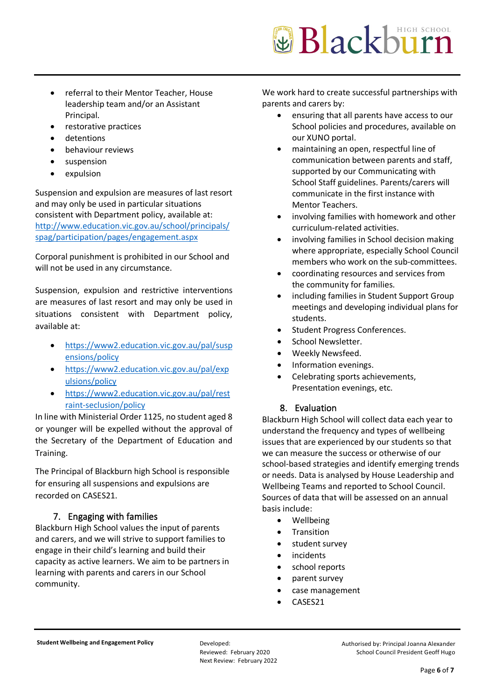- referral to their Mentor Teacher, House leadership team and/or an Assistant Principal.
- restorative practices
- detentions
- behaviour reviews
- suspension
- expulsion

Suspension and expulsion are measures of last resort and may only be used in particular situations consistent with Department policy, available at: [http://www.education.vic.gov.au/school/principals/](http://www.education.vic.gov.au/school/principals/spag/participation/pages/engagement.aspx) [spag/participation/pages/engagement.aspx](http://www.education.vic.gov.au/school/principals/spag/participation/pages/engagement.aspx)

Corporal punishment is prohibited in our School and will not be used in any circumstance.

Suspension, expulsion and restrictive interventions are measures of last resort and may only be used in situations consistent with Department policy, available at:

- [https://www2.education.vic.gov.au/pal/susp](https://www2.education.vic.gov.au/pal/suspensions/policy) [ensions/policy](https://www2.education.vic.gov.au/pal/suspensions/policy)
- [https://www2.education.vic.gov.au/pal/exp](https://www2.education.vic.gov.au/pal/expulsions/policy) [ulsions/policy](https://www2.education.vic.gov.au/pal/expulsions/policy)
- [https://www2.education.vic.gov.au/pal/rest](https://www2.education.vic.gov.au/pal/restraint-seclusion/policy) [raint-seclusion/policy](https://www2.education.vic.gov.au/pal/restraint-seclusion/policy)

In line with Ministerial Order 1125, no student aged 8 or younger will be expelled without the approval of the Secretary of the Department of Education and Training.

The Principal of Blackburn high School is responsible for ensuring all suspensions and expulsions are recorded on CASES21.

# 7. Engaging with families

Blackburn High School values the input of parents and carers, and we will strive to support families to engage in their child's learning and build their capacity as active learners. We aim to be partners in learning with parents and carers in our School community.

We work hard to create successful partnerships with parents and carers by:

- ensuring that all parents have access to our School policies and procedures, available on our XUNO portal.
- maintaining an open, respectful line of communication between parents and staff, supported by our Communicating with School Staff guidelines. Parents/carers will communicate in the first instance with Mentor Teachers.
- involving families with homework and other curriculum-related activities.
- involving families in School decision making where appropriate, especially School Council members who work on the sub-committees.
- coordinating resources and services from the community for families.
- including families in Student Support Group meetings and developing individual plans for students.
- Student Progress Conferences.
- School Newsletter.
- Weekly Newsfeed.
- Information evenings.
- Celebrating sports achievements, Presentation evenings, etc.

# 8. Evaluation

Blackburn High School will collect data each year to understand the frequency and types of wellbeing issues that are experienced by our students so that we can measure the success or otherwise of our school-based strategies and identify emerging trends or needs. Data is analysed by House Leadership and Wellbeing Teams and reported to School Council. Sources of data that will be assessed on an annual basis include:

- Wellbeing
- **Transition**
- student survey
- **incidents**
- school reports
- parent survey
- case management
- CASES21

Reviewed: February 2020 Next Review: February 2022